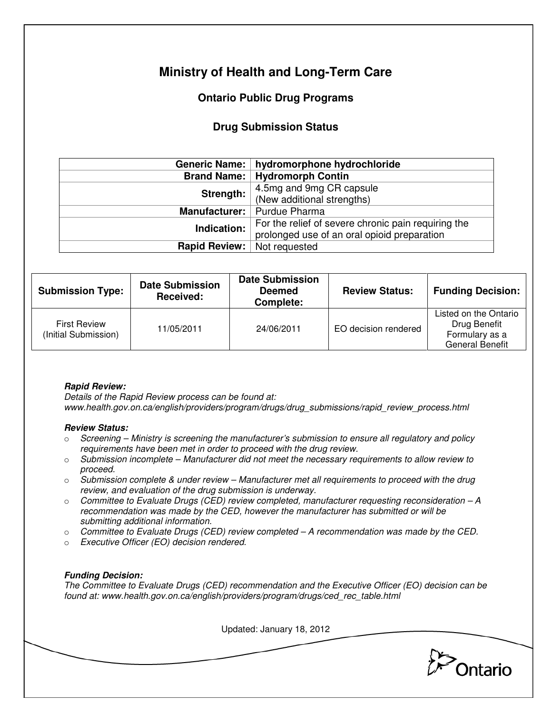# **Ministry of Health and Long-Term Care**

## **Ontario Public Drug Programs**

### **Drug Submission Status**

|                      | Generic Name:   hydromorphone hydrochloride         |  |  |
|----------------------|-----------------------------------------------------|--|--|
|                      | <b>Brand Name:   Hydromorph Contin</b>              |  |  |
| Strength:            | 4.5mg and 9mg CR capsule                            |  |  |
|                      | (New additional strengths)                          |  |  |
| <b>Manufacturer:</b> | Purdue Pharma                                       |  |  |
| Indication:          | For the relief of severe chronic pain requiring the |  |  |
|                      | prolonged use of an oral opioid preparation         |  |  |
| <b>Rapid Review:</b> | Not requested                                       |  |  |

| <b>Submission Type:</b>                     | <b>Date Submission</b><br>Received: | <b>Date Submission</b><br><b>Deemed</b><br>Complete: | <b>Review Status:</b> | <b>Funding Decision:</b>                                                          |
|---------------------------------------------|-------------------------------------|------------------------------------------------------|-----------------------|-----------------------------------------------------------------------------------|
| <b>First Review</b><br>(Initial Submission) | 11/05/2011                          | 24/06/2011                                           | EO decision rendered  | Listed on the Ontario<br>Drug Benefit<br>Formulary as a<br><b>General Benefit</b> |

#### **Rapid Review:**

Details of the Rapid Review process can be found at: www.health.gov.on.ca/english/providers/program/drugs/drug\_submissions/rapid\_review\_process.html

#### **Review Status:**

- $\circ$  Screening Ministry is screening the manufacturer's submission to ensure all regulatory and policy requirements have been met in order to proceed with the drug review.
- $\circ$  Submission incomplete Manufacturer did not meet the necessary requirements to allow review to proceed.
- $\circ$  Submission complete & under review Manufacturer met all requirements to proceed with the drug review, and evaluation of the drug submission is underway.
- $\circ$  Committee to Evaluate Drugs (CED) review completed, manufacturer requesting reconsideration A recommendation was made by the CED, however the manufacturer has submitted or will be submitting additional information.
- $\circ$  Committee to Evaluate Drugs (CED) review completed  $-A$  recommendation was made by the CED.
- o Executive Officer (EO) decision rendered.

#### **Funding Decision:**

The Committee to Evaluate Drugs (CED) recommendation and the Executive Officer (EO) decision can be found at: www.health.gov.on.ca/english/providers/program/drugs/ced\_rec\_table.html

Updated: January 18, 2012